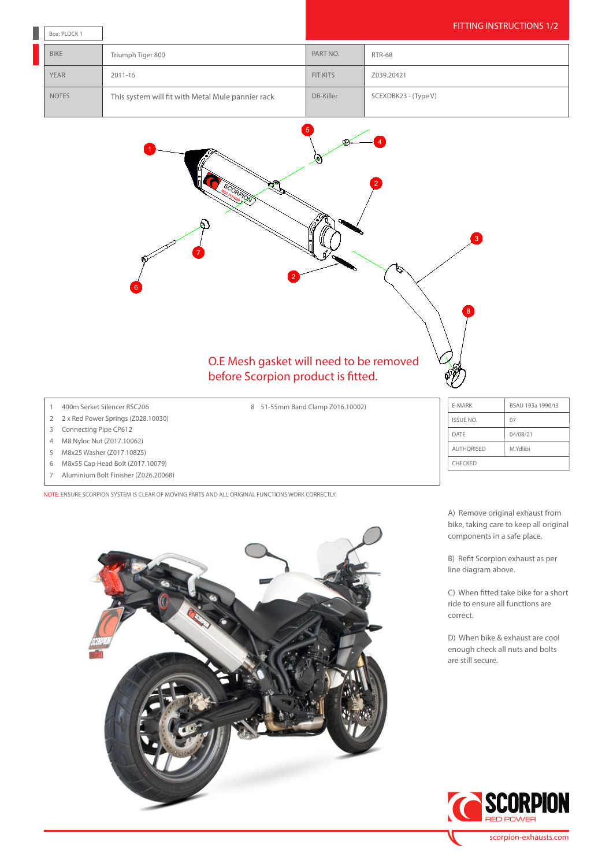| Box: PLOCK 1 |                                                   |           | <b>FITTING INSTRUCTIONS 1/2</b> |
|--------------|---------------------------------------------------|-----------|---------------------------------|
| <b>BIKE</b>  | Triumph Tiger 800                                 | PART NO.  | <b>RTR-68</b>                   |
| <b>YEAR</b>  | 2011-16                                           | FIT KITS  | Z039.20421                      |
| <b>NOTES</b> | This system will fit with Metal Mule pannier rack | DB-Killer | SCEXDBK23 - (Type V)            |



8 51-55mm Band Clamp Z016.10002)

## 1 400m Serket Silencer RSC206

- 2 2 x Red Power Springs (Z028.10030)
- 3 Connecting Pipe CP612
- 4 M8 Nyloc Nut (Z017.10062)
- 5 M8x25 Washer (Z017.10825)
- 6 M8x55 Cap Head Bolt (Z017.10079)
- 7 Aluminium Bolt Finisher (Z026.20068)

NOTE: ENSURE SCORPION SYSTEM IS CLEAR OF MOVING PARTS AND ALL ORIGINAL FUNCTIONS WORK CORRECTLY.



| E-MARK            | BSAU 193a 1990/t3 |  |  |  |
|-------------------|-------------------|--|--|--|
| <b>ISSUE NO.</b>  | 07                |  |  |  |
| DATE              | 04/08/21          |  |  |  |
| <b>AUTHORISED</b> | M.Ydlibi          |  |  |  |
| <b>CHECKED</b>    |                   |  |  |  |

A) Remove original exhaust from bike, taking care to keep all original components in a safe place.

B) Refit Scorpion exhaust as per line diagram above.

C) When fitted take bike for a short ride to ensure all functions are correct.

D) When bike & exhaust are cool enough check all nuts and bolts are still secure.